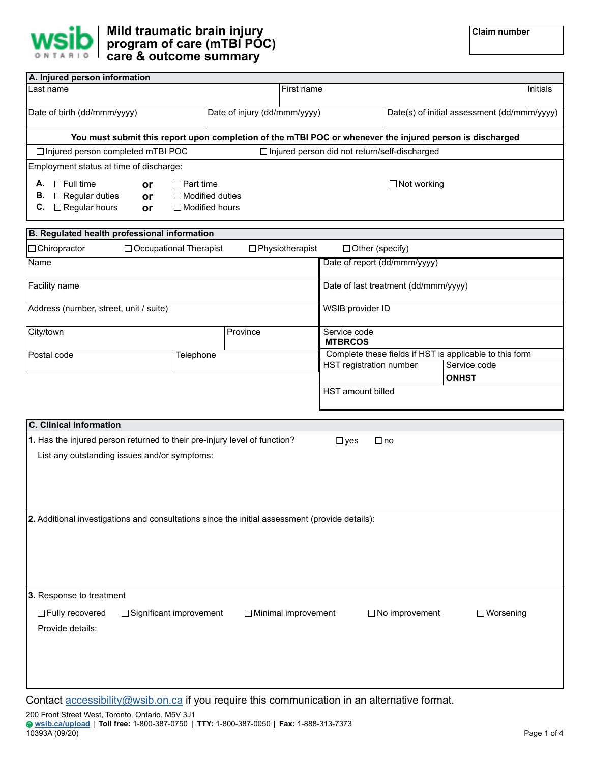

| A. Injured person information                                                                            |                               |                              |  |                                                         |                                                 |          |                                             |  |
|----------------------------------------------------------------------------------------------------------|-------------------------------|------------------------------|--|---------------------------------------------------------|-------------------------------------------------|----------|---------------------------------------------|--|
| Last name                                                                                                | First name                    |                              |  |                                                         |                                                 | Initials |                                             |  |
|                                                                                                          |                               |                              |  |                                                         |                                                 |          |                                             |  |
| Date of birth (dd/mmm/yyyy)                                                                              |                               | Date of injury (dd/mmm/yyyy) |  |                                                         |                                                 |          | Date(s) of initial assessment (dd/mmm/yyyy) |  |
|                                                                                                          |                               |                              |  |                                                         |                                                 |          |                                             |  |
| You must submit this report upon completion of the mTBI POC or whenever the injured person is discharged |                               |                              |  |                                                         |                                                 |          |                                             |  |
| □ Injured person completed mTBI POC                                                                      |                               |                              |  |                                                         | □ Injured person did not return/self-discharged |          |                                             |  |
| Employment status at time of discharge:                                                                  |                               |                              |  |                                                         |                                                 |          |                                             |  |
|                                                                                                          |                               |                              |  |                                                         |                                                 |          |                                             |  |
| $\Box$ Full time<br>А.<br>or                                                                             | $\Box$ Part time              |                              |  | $\Box$ Not working                                      |                                                 |          |                                             |  |
| $\Box$ Regular duties<br>В.<br>or                                                                        |                               | $\Box$ Modified duties       |  |                                                         |                                                 |          |                                             |  |
| $\Box$ Regular hours<br>С.<br><b>or</b>                                                                  |                               | $\Box$ Modified hours        |  |                                                         |                                                 |          |                                             |  |
|                                                                                                          |                               |                              |  |                                                         |                                                 |          |                                             |  |
| B. Regulated health professional information                                                             |                               |                              |  |                                                         |                                                 |          |                                             |  |
| $\Box$ Chiropractor                                                                                      | $\Box$ Occupational Therapist |                              |  | $\Box$ Physiotherapist                                  | $\Box$ Other (specify)                          |          |                                             |  |
| Name                                                                                                     |                               |                              |  |                                                         | Date of report (dd/mmm/yyyy)                    |          |                                             |  |
|                                                                                                          |                               |                              |  |                                                         |                                                 |          |                                             |  |
| Facility name                                                                                            |                               |                              |  |                                                         | Date of last treatment (dd/mmm/yyyy)            |          |                                             |  |
|                                                                                                          |                               |                              |  |                                                         |                                                 |          |                                             |  |
| Address (number, street, unit / suite)                                                                   |                               |                              |  |                                                         | WSIB provider ID                                |          |                                             |  |
|                                                                                                          |                               |                              |  |                                                         |                                                 |          |                                             |  |
| City/town                                                                                                |                               | Province                     |  |                                                         | Service code                                    |          |                                             |  |
|                                                                                                          |                               |                              |  |                                                         | <b>MTBRCOS</b>                                  |          |                                             |  |
| Postal code<br>Telephone                                                                                 |                               |                              |  | Complete these fields if HST is applicable to this form |                                                 |          |                                             |  |
|                                                                                                          |                               |                              |  |                                                         | HST registration number                         |          | Service code                                |  |
|                                                                                                          |                               |                              |  |                                                         |                                                 |          | <b>ONHST</b>                                |  |
|                                                                                                          |                               |                              |  |                                                         |                                                 |          |                                             |  |
|                                                                                                          |                               |                              |  |                                                         | <b>HST</b> amount billed                        |          |                                             |  |
|                                                                                                          |                               |                              |  |                                                         |                                                 |          |                                             |  |
|                                                                                                          |                               |                              |  |                                                         |                                                 |          |                                             |  |

| <b>C.</b> Clinical information                                                                                             |                            |            |                       |                  |
|----------------------------------------------------------------------------------------------------------------------------|----------------------------|------------|-----------------------|------------------|
| 1. Has the injured person returned to their pre-injury level of function?                                                  |                            | $\Box$ yes | $\Box$ no             |                  |
| List any outstanding issues and/or symptoms:                                                                               |                            |            |                       |                  |
|                                                                                                                            |                            |            |                       |                  |
|                                                                                                                            |                            |            |                       |                  |
|                                                                                                                            |                            |            |                       |                  |
| 2. Additional investigations and consultations since the initial assessment (provide details):                             |                            |            |                       |                  |
|                                                                                                                            |                            |            |                       |                  |
|                                                                                                                            |                            |            |                       |                  |
|                                                                                                                            |                            |            |                       |                  |
|                                                                                                                            |                            |            |                       |                  |
| 3. Response to treatment                                                                                                   |                            |            |                       |                  |
| □ Fully recovered<br>$\Box$ Significant improvement                                                                        | $\Box$ Minimal improvement |            | $\Box$ No improvement | $\Box$ Worsening |
| Provide details:                                                                                                           |                            |            |                       |                  |
|                                                                                                                            |                            |            |                       |                  |
|                                                                                                                            |                            |            |                       |                  |
|                                                                                                                            |                            |            |                       |                  |
| in the control of the Common Control of the control and the common control of the control of the control of the control of |                            |            |                       |                  |

Contact **accessibility@wsib.on.ca** if you require this communication in an alternative format.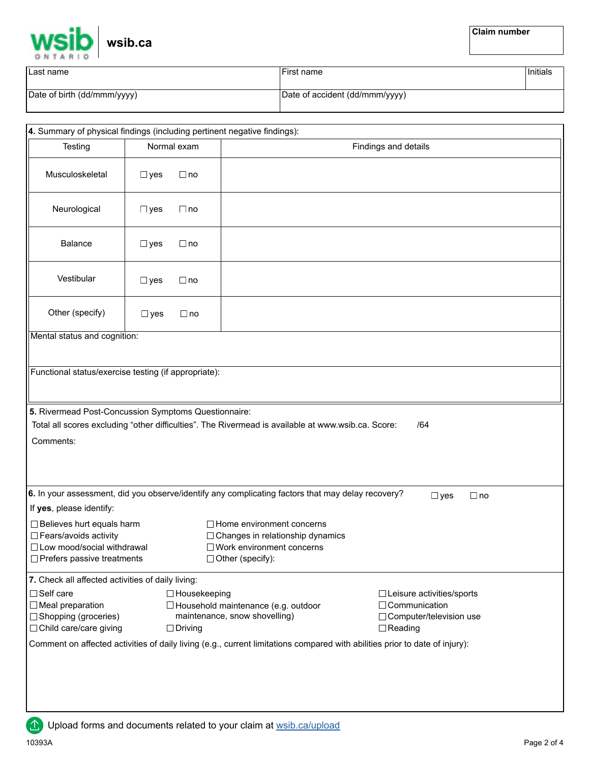

| Last name                   | First name                     | <sup>'</sup> Initials |
|-----------------------------|--------------------------------|-----------------------|
| Date of birth (dd/mmm/yyyy) | Date of accident (dd/mmm/yyyy) |                       |

|                                                                                                                                                                                                                                                                                                                                 |               |             |  | 4. Summary of physical findings (including pertinent negative findings): |  |  |  |  |  |  |  |
|---------------------------------------------------------------------------------------------------------------------------------------------------------------------------------------------------------------------------------------------------------------------------------------------------------------------------------|---------------|-------------|--|--------------------------------------------------------------------------|--|--|--|--|--|--|--|
| Testing                                                                                                                                                                                                                                                                                                                         |               | Normal exam |  | Findings and details                                                     |  |  |  |  |  |  |  |
| Musculoskeletal                                                                                                                                                                                                                                                                                                                 | $\square$ yes | $\Box$ no   |  |                                                                          |  |  |  |  |  |  |  |
| Neurological                                                                                                                                                                                                                                                                                                                    | $\square$ yes | $\Box$ no   |  |                                                                          |  |  |  |  |  |  |  |
| <b>Balance</b>                                                                                                                                                                                                                                                                                                                  | $\Box$ yes    | $\Box$ no   |  |                                                                          |  |  |  |  |  |  |  |
| Vestibular                                                                                                                                                                                                                                                                                                                      | $\Box$ yes    | $\Box$ no   |  |                                                                          |  |  |  |  |  |  |  |
| Other (specify)                                                                                                                                                                                                                                                                                                                 | $\Box$ yes    | $\Box$ no   |  |                                                                          |  |  |  |  |  |  |  |
| Mental status and cognition:                                                                                                                                                                                                                                                                                                    |               |             |  |                                                                          |  |  |  |  |  |  |  |
| Functional status/exercise testing (if appropriate):                                                                                                                                                                                                                                                                            |               |             |  |                                                                          |  |  |  |  |  |  |  |
| 5. Rivermead Post-Concussion Symptoms Questionnaire:<br>Total all scores excluding "other difficulties". The Rivermead is available at www.wsib.ca. Score:<br>/64<br>Comments:                                                                                                                                                  |               |             |  |                                                                          |  |  |  |  |  |  |  |
| 6. In your assessment, did you observe/identify any complicating factors that may delay recovery?<br>$\square$ yes<br>$\Box$ no                                                                                                                                                                                                 |               |             |  |                                                                          |  |  |  |  |  |  |  |
| If yes, please identify:                                                                                                                                                                                                                                                                                                        |               |             |  |                                                                          |  |  |  |  |  |  |  |
| □ Believes hurt equals harm<br>$\Box$ Home environment concerns<br>□ Fears/avoids activity<br>□ Changes in relationship dynamics<br>□ Low mood/social withdrawal<br>$\Box$ Work environment concerns<br>$\Box$ Prefers passive treatments<br>$\Box$ Other (specify):                                                            |               |             |  |                                                                          |  |  |  |  |  |  |  |
| 7. Check all affected activities of daily living:                                                                                                                                                                                                                                                                               |               |             |  |                                                                          |  |  |  |  |  |  |  |
| $\Box$ Self care<br>$\Box$ Housekeeping<br>□ Leisure activities/sports<br>$\Box$ Meal preparation<br>□ Household maintenance (e.g. outdoor<br>□ Communication<br>maintenance, snow shovelling)<br>$\Box$ Shopping (groceries)<br>□ Computer/television use<br>$\Box$ Child care/care giving<br>$\Box$ Driving<br>$\Box$ Reading |               |             |  |                                                                          |  |  |  |  |  |  |  |
| Comment on affected activities of daily living (e.g., current limitations compared with abilities prior to date of injury):                                                                                                                                                                                                     |               |             |  |                                                                          |  |  |  |  |  |  |  |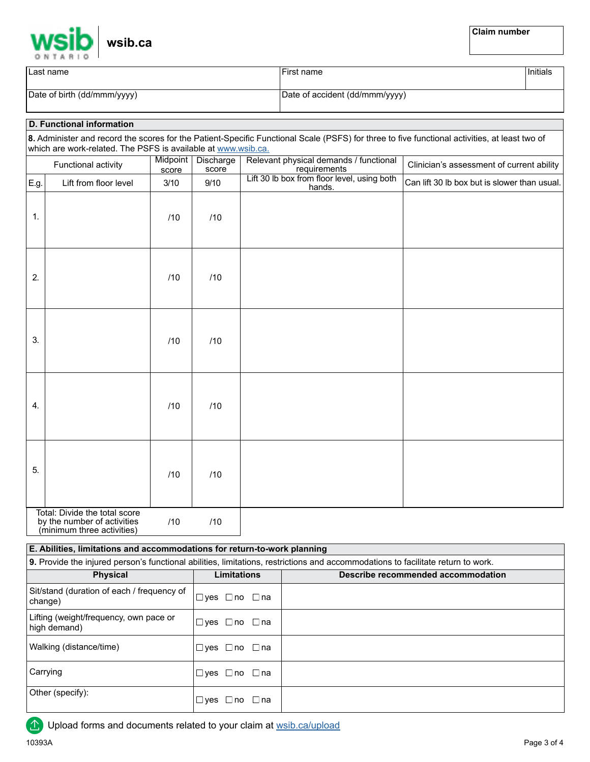|  | wsib.ca |
|--|---------|
|--|---------|

| Last name                   | First name                     | Initials |
|-----------------------------|--------------------------------|----------|
| Date of birth (dd/mmm/yyyy) | Date of accident (dd/mmm/yyyy) |          |

## **D. Functional information**

|      | which are work-related. The PSFS is available at www.wsib.ca. |                   |                    | 8. Administer and record the scores for the Patient-Specific Functional Scale (PSFS) for three to five functional activities, at least two of |                                              |
|------|---------------------------------------------------------------|-------------------|--------------------|-----------------------------------------------------------------------------------------------------------------------------------------------|----------------------------------------------|
|      | Functional activity                                           | Midpoint<br>score | Discharge<br>score | Relevant physical demands / functional<br>requirements                                                                                        | Clinician's assessment of current ability    |
| E.g. | Lift from floor level                                         | 3/10              | 9/10               | Lift 30 lb box from floor level, using both<br>hands.                                                                                         | Can lift 30 lb box but is slower than usual. |
| 1.   |                                                               | /10               | /10                |                                                                                                                                               |                                              |
| 2.   |                                                               | /10               | /10                |                                                                                                                                               |                                              |
| 3.   |                                                               | /10               | /10                |                                                                                                                                               |                                              |
| 4.   |                                                               | /10               | /10                |                                                                                                                                               |                                              |
| 5.   |                                                               | /10               | /10                |                                                                                                                                               |                                              |
|      | Total: Divide the total score<br>by the number of activities  | /10               | /10                |                                                                                                                                               |                                              |

(minimum three activities)

## **9.** Provide the injured person's functional abilities, limitations, restrictions and accommodations to facilitate return to work. **Physical <b>Limitations Describe recommended accommodation** Sit/stand (duration of each / frequency of change) Lifting (weight/frequency, own pace or high demand) Walking (distance/time) **Carrying** Other (specify): **E. Abilities, limitations and accommodations for return-to-work planning**  yes □no □na yes □no □na yes □no □na yes ⊟no ⊟na yes □no □na